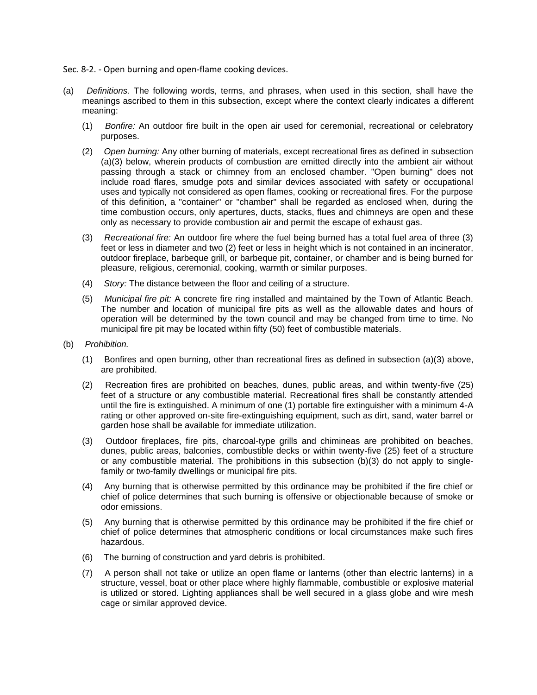- Sec. 8-2. Open burning and open-flame cooking devices.
- (a) *Definitions.* The following words, terms, and phrases, when used in this section, shall have the meanings ascribed to them in this subsection, except where the context clearly indicates a different meaning:
	- (1) *Bonfire:* An outdoor fire built in the open air used for ceremonial, recreational or celebratory purposes.
	- (2) *Open burning:* Any other burning of materials, except recreational fires as defined in subsection (a)(3) below, wherein products of combustion are emitted directly into the ambient air without passing through a stack or chimney from an enclosed chamber. "Open burning" does not include road flares, smudge pots and similar devices associated with safety or occupational uses and typically not considered as open flames, cooking or recreational fires. For the purpose of this definition, a "container" or "chamber" shall be regarded as enclosed when, during the time combustion occurs, only apertures, ducts, stacks, flues and chimneys are open and these only as necessary to provide combustion air and permit the escape of exhaust gas.
	- (3) *Recreational fire:* An outdoor fire where the fuel being burned has a total fuel area of three (3) feet or less in diameter and two (2) feet or less in height which is not contained in an incinerator, outdoor fireplace, barbeque grill, or barbeque pit, container, or chamber and is being burned for pleasure, religious, ceremonial, cooking, warmth or similar purposes.
	- (4) *Story:* The distance between the floor and ceiling of a structure.
	- (5) *Municipal fire pit:* A concrete fire ring installed and maintained by the Town of Atlantic Beach. The number and location of municipal fire pits as well as the allowable dates and hours of operation will be determined by the town council and may be changed from time to time. No municipal fire pit may be located within fifty (50) feet of combustible materials.
- (b) *Prohibition.*
	- (1) Bonfires and open burning, other than recreational fires as defined in subsection (a)(3) above, are prohibited.
	- (2) Recreation fires are prohibited on beaches, dunes, public areas, and within twenty-five (25) feet of a structure or any combustible material. Recreational fires shall be constantly attended until the fire is extinguished. A minimum of one (1) portable fire extinguisher with a minimum 4-A rating or other approved on-site fire-extinguishing equipment, such as dirt, sand, water barrel or garden hose shall be available for immediate utilization.
	- (3) Outdoor fireplaces, fire pits, charcoal-type grills and chimineas are prohibited on beaches, dunes, public areas, balconies, combustible decks or within twenty-five (25) feet of a structure or any combustible material. The prohibitions in this subsection (b)(3) do not apply to singlefamily or two-family dwellings or municipal fire pits.
	- (4) Any burning that is otherwise permitted by this ordinance may be prohibited if the fire chief or chief of police determines that such burning is offensive or objectionable because of smoke or odor emissions.
	- (5) Any burning that is otherwise permitted by this ordinance may be prohibited if the fire chief or chief of police determines that atmospheric conditions or local circumstances make such fires hazardous.
	- (6) The burning of construction and yard debris is prohibited.
	- (7) A person shall not take or utilize an open flame or lanterns (other than electric lanterns) in a structure, vessel, boat or other place where highly flammable, combustible or explosive material is utilized or stored. Lighting appliances shall be well secured in a glass globe and wire mesh cage or similar approved device.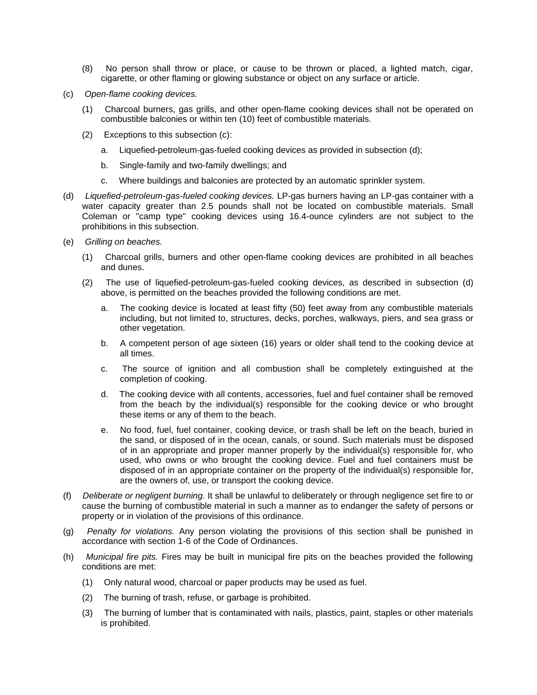- (8) No person shall throw or place, or cause to be thrown or placed, a lighted match, cigar, cigarette, or other flaming or glowing substance or object on any surface or article.
- (c) *Open-flame cooking devices.*
	- (1) Charcoal burners, gas grills, and other open-flame cooking devices shall not be operated on combustible balconies or within ten (10) feet of combustible materials.
	- (2) Exceptions to this subsection (c):
		- a. Liquefied-petroleum-gas-fueled cooking devices as provided in subsection (d);
		- b. Single-family and two-family dwellings; and
		- c. Where buildings and balconies are protected by an automatic sprinkler system.
- (d) *Liquefied-petroleum-gas-fueled cooking devices.* LP-gas burners having an LP-gas container with a water capacity greater than 2.5 pounds shall not be located on combustible materials. Small Coleman or "camp type" cooking devices using 16.4-ounce cylinders are not subject to the prohibitions in this subsection.
- (e) *Grilling on beaches.*
	- (1) Charcoal grills, burners and other open-flame cooking devices are prohibited in all beaches and dunes.
	- (2) The use of liquefied-petroleum-gas-fueled cooking devices, as described in subsection (d) above, is permitted on the beaches provided the following conditions are met.
		- a. The cooking device is located at least fifty (50) feet away from any combustible materials including, but not limited to, structures, decks, porches, walkways, piers, and sea grass or other vegetation.
		- b. A competent person of age sixteen (16) years or older shall tend to the cooking device at all times.
		- c. The source of ignition and all combustion shall be completely extinguished at the completion of cooking.
		- d. The cooking device with all contents, accessories, fuel and fuel container shall be removed from the beach by the individual(s) responsible for the cooking device or who brought these items or any of them to the beach.
		- e. No food, fuel, fuel container, cooking device, or trash shall be left on the beach, buried in the sand, or disposed of in the ocean, canals, or sound. Such materials must be disposed of in an appropriate and proper manner properly by the individual(s) responsible for, who used, who owns or who brought the cooking device. Fuel and fuel containers must be disposed of in an appropriate container on the property of the individual(s) responsible for, are the owners of, use, or transport the cooking device.
- (f) *Deliberate or negligent burning.* It shall be unlawful to deliberately or through negligence set fire to or cause the burning of combustible material in such a manner as to endanger the safety of persons or property or in violation of the provisions of this ordinance.
- (g) *Penalty for violations.* Any person violating the provisions of this section shall be punished in accordance with section 1-6 of the Code of Ordinances.
- (h) *Municipal fire pits.* Fires may be built in municipal fire pits on the beaches provided the following conditions are met:
	- (1) Only natural wood, charcoal or paper products may be used as fuel.
	- (2) The burning of trash, refuse, or garbage is prohibited.
	- (3) The burning of lumber that is contaminated with nails, plastics, paint, staples or other materials is prohibited.